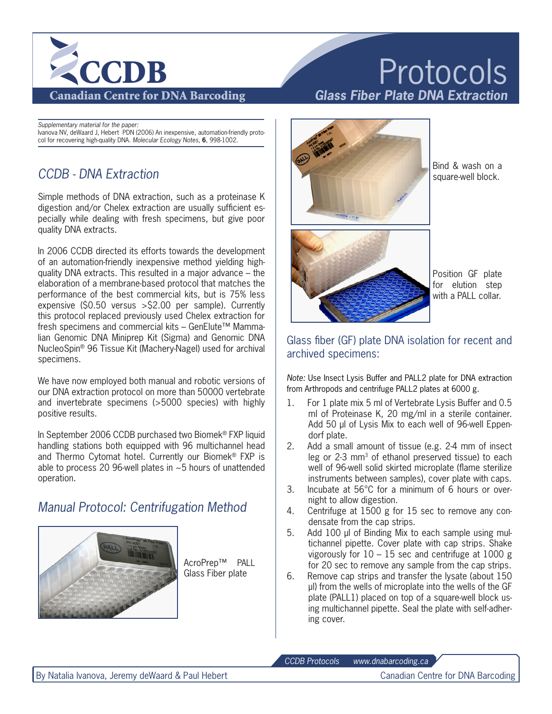

eappromentary material for the paper.<br>Ivanova NV, deWaard J, Hebert PDN (2006) An inexpensive, automation-friendly proto-Minion Std Black col for recovering high-quality DNA. *Molecular Ecology Notes,* **6**, 998-1002. *Supplementary material for the paper:*

# *CCDB - DNA Extraction*

Simple methods of DNA extraction, such as a proteinase K digestion and/or Chelex extraction are usually sufficient especially while dealing with fresh specimens, but give poor quality DNA extracts.

In 2006 CCDB directed its efforts towards the development of an automation-friendly inexpensive method yielding highquality DNA extracts. This resulted in a major advance – the elaboration of a membrane-based protocol that matches the performance of the best commercial kits, but is 75% less expensive (\$0.50 versus >\$2.00 per sample). Currently this protocol replaced previously used Chelex extraction for fresh specimens and commercial kits – GenElute™ Mammalian Genomic DNA Miniprep Kit (Sigma) and Genomic DNA NucleoSpin® 96 Tissue Kit (Machery-Nagel) used for archival specimens.

We have now employed both manual and robotic versions of our DNA extraction protocol on more than 50000 vertebrate and invertebrate specimens (>5000 species) with highly positive results.

In September 2006 CCDB purchased two Biomek® FXP liquid handling stations both equipped with 96 multichannel head and Thermo Cytomat hotel. Currently our Biomek® FXP is able to process 20 96-well plates in ~5 hours of unattended operation.

## *Manual Protocol: Centrifugation Method*



AcroPrep™ PALL Glass Fiber plate

# Protocols *Glass Fiber Plate DNA Extraction*



Bind & wash on a square-well block.



Position GF plate for elution step with a PALL collar.

#### Glass fiber (GF) plate DNA isolation for recent and archived specimens:

*Note:* Use Insect Lysis Buffer and PALL2 plate for DNA extraction from Arthropods and centrifuge PALL2 plates at 6000 g.

- 1. For 1 plate mix 5 ml of Vertebrate Lysis Buffer and 0.5 ml of Proteinase K, 20 mg/ml in a sterile container. Add 50 µl of Lysis Mix to each well of 96-well Eppendorf plate.
- 2. Add a small amount of tissue (e.g. 2-4 mm of insect leg or 2-3 mm<sup>3</sup> of ethanol preserved tissue) to each well of 96-well solid skirted microplate (flame sterilize instruments between samples), cover plate with caps.
- 3. Incubate at 56°C for a minimum of 6 hours or overnight to allow digestion.
- 4. Centrifuge at 1500 g for 15 sec to remove any condensate from the cap strips.
- 5. Add 100 ul of Binding Mix to each sample using multichannel pipette. Cover plate with cap strips. Shake vigorously for  $10 - 15$  sec and centrifuge at 1000 g for 20 sec to remove any sample from the cap strips.
- 6. Remove cap strips and transfer the lysate (about 150 µl) from the wells of microplate into the wells of the GF plate (PALL1) placed on top of a square-well block using multichannel pipette. Seal the plate with self-adhering cover.

*CCDB Protocols www.dnabarcoding.ca*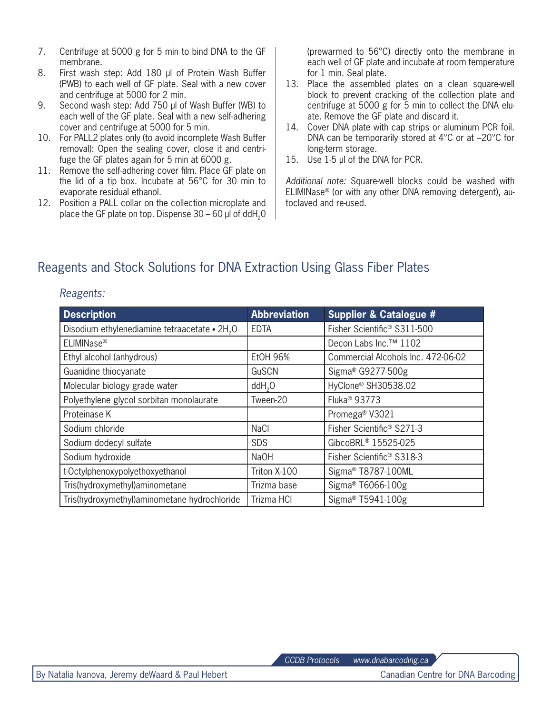- 7. Centrifuge at 5000 g for 5 min to bind DNA to the GF membrane.
- 8. First wash step: Add 180 µl of Protein Wash Buffer (PWB) to each well of GF plate. Seal with a new cover and centrifuge at 5000 for 2 min.
- 9. Second wash step: Add 750 µl of Wash Buffer (WB) to each well of the GF plate. Seal with a new self-adhering cover and centrifuge at 5000 for 5 min.
- 10. For PALL2 plates only (to avoid incomplete Wash Buffer removal): Open the sealing cover, close it and centrifuge the GF plates again for 5 min at 6000 g.
- 11. Remove the self-adhering cover film. Place GF plate on the lid of a tip box. Incubate at 56°C for 30 min to evaporate residual ethanol.
- 12. Position a PALL collar on the collection microplate and place the GF plate on top. Dispense  $30 - 60$  µl of ddH<sub>2</sub>0

(prewarmed to 56°C) directly onto the membrane in each well of GF plate and incubate at room temperature for 1 min. Seal plate.

- 13. Place the assembled plates on a clean square-well block to prevent cracking of the collection plate and centrifuge at 5000 g for 5 min to collect the DNA eluate. Remove the GF plate and discard it.
- 14. Cover DNA plate with cap strips or aluminum PCR foil. DNA can be temporarily stored at 4°C or at –20°C for long-term storage.
- 15. Use 1-5 µl of the DNA for PCR.

*Additional note:* Square-well blocks could be washed with ELIMINase® (or with any other DNA removing detergent), autoclaved and re-used.

# Reagents and Stock Solutions for DNA Extraction Using Glass Fiber Plates

#### *Reagents:*

| <b>Description</b>                                        | <b>Abbreviation</b> | <b>Supplier &amp; Catalogue #</b>       |
|-----------------------------------------------------------|---------------------|-----------------------------------------|
| Disodium ethylenediamine tetraacetate • 2H <sub>2</sub> O | <b>EDTA</b>         | Fisher Scientific <sup>®</sup> S311-500 |
| ELIMINase®                                                |                     | Decon Labs Inc. <sup>™</sup> 1102       |
| Ethyl alcohol (anhydrous)                                 | <b>EtOH 96%</b>     | Commercial Alcohols Inc. 472-06-02      |
| Guanidine thiocyanate                                     | GuSCN               | Sigma <sup>®</sup> G9277-500g           |
| Molecular biology grade water                             | $d$ dd $H2O$        | HyClone <sup>®</sup> SH30538.02         |
| Polyethylene glycol sorbitan monolaurate                  | Tween-20            | Fluka <sup>®</sup> 93773                |
| Proteinase K                                              |                     | Promega <sup>®</sup> V3021              |
| Sodium chloride                                           | <b>NaCl</b>         | Fisher Scientific <sup>®</sup> S271-3   |
| Sodium dodecyl sulfate                                    | <b>SDS</b>          | GibcoBRL <sup>®</sup> 15525-025         |
| Sodium hydroxide                                          | <b>NaOH</b>         | Fisher Scientific <sup>®</sup> S318-3   |
| t-Octylphenoxypolyethoxyethanol                           | Triton X-100        | Sigma <sup>®</sup> T8787-100ML          |
| Tris(hydroxymethyl)aminometane                            | Trizma base         | Sigma <sup>®</sup> T6066-100g           |
| Tris(hydroxymethyl) aminometane hydrochloride             | Trizma HCI          | Sigma <sup>®</sup> T5941-100g           |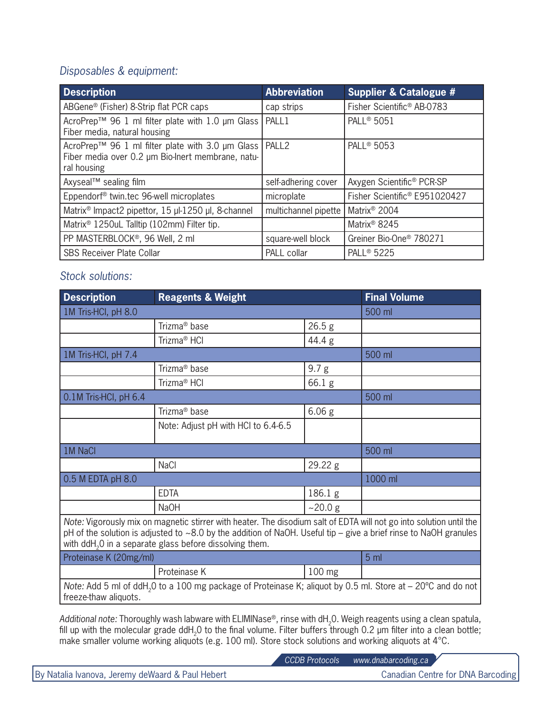## *Disposables & equipment:*

| <b>Description</b>                                                                                                           | <b>Abbreviation</b>  | <b>Supplier &amp; Catalogue #</b>         |
|------------------------------------------------------------------------------------------------------------------------------|----------------------|-------------------------------------------|
| ABGene® (Fisher) 8-Strip flat PCR caps                                                                                       | cap strips           | Fisher Scientific <sup>®</sup> AB-0783    |
| AcroPrep™ 96 1 ml filter plate with 1.0 µm Glass  <br>Fiber media, natural housing                                           | PALL1                | <b>PALL<sup>®</sup> 5051</b>              |
| AcroPrep™ 96 1 ml filter plate with 3.0 µm Glass   PALL2<br>Fiber media over 0.2 µm Bio-Inert membrane, natu-<br>ral housing |                      | <b>PALL<sup>®</sup> 5053</b>              |
| Axyseal™ sealing film                                                                                                        | self-adhering cover  | Axygen Scientific <sup>®</sup> PCR-SP     |
| Eppendorf <sup>®</sup> twin.tec 96-well microplates                                                                          | microplate           | Fisher Scientific <sup>®</sup> E951020427 |
| Matrix <sup>®</sup> Impact2 pipettor, 15 µl-1250 µl, 8-channel                                                               | multichannel pipette | Matrix <sup>®</sup> 2004                  |
| Matrix <sup>®</sup> 1250uL Talltip (102mm) Filter tip.                                                                       |                      | Matrix <sup>®</sup> 8245                  |
| PP MASTERBLOCK®, 96 Well, 2 ml                                                                                               | square-well block    | Greiner Bio-One <sup>®</sup> 780271       |
| <b>SBS Receiver Plate Collar</b>                                                                                             | PALL collar          | <b>PALL<sup>®</sup> 5225</b>              |

## *Stock solutions:*

| <b>Description</b>                                                                                                                                                                                                                                                                                                   | <b>Reagents &amp; Weight</b>        |                   | <b>Final Volume</b> |  |  |
|----------------------------------------------------------------------------------------------------------------------------------------------------------------------------------------------------------------------------------------------------------------------------------------------------------------------|-------------------------------------|-------------------|---------------------|--|--|
| 1M Tris-HCI, pH 8.0                                                                                                                                                                                                                                                                                                  |                                     | 500 ml            |                     |  |  |
|                                                                                                                                                                                                                                                                                                                      | Trizma <sup>®</sup> base            | 26.5 <sub>g</sub> |                     |  |  |
|                                                                                                                                                                                                                                                                                                                      | Trizma <sup>®</sup> HCl             | 44.4 g            |                     |  |  |
| 1M Tris-HCI, pH 7.4                                                                                                                                                                                                                                                                                                  |                                     |                   | 500 ml              |  |  |
|                                                                                                                                                                                                                                                                                                                      | Trizma <sup>®</sup> base            | 9.7 <sub>g</sub>  |                     |  |  |
|                                                                                                                                                                                                                                                                                                                      | Trizma <sup>®</sup> HCl             | 66.1 g            |                     |  |  |
| 0.1M Tris-HCI, pH 6.4                                                                                                                                                                                                                                                                                                |                                     |                   | 500 ml              |  |  |
|                                                                                                                                                                                                                                                                                                                      | Trizma <sup>®</sup> base            | 6.06 <sub>g</sub> |                     |  |  |
|                                                                                                                                                                                                                                                                                                                      | Note: Adjust pH with HCI to 6.4-6.5 |                   |                     |  |  |
| 1M NaCl                                                                                                                                                                                                                                                                                                              |                                     | 500 ml            |                     |  |  |
|                                                                                                                                                                                                                                                                                                                      | <b>NaCl</b>                         | 29.22 g           |                     |  |  |
| 0.5 M EDTA pH 8.0                                                                                                                                                                                                                                                                                                    |                                     |                   | 1000 ml             |  |  |
|                                                                                                                                                                                                                                                                                                                      | <b>EDTA</b>                         | 186.1 g           |                     |  |  |
|                                                                                                                                                                                                                                                                                                                      | <b>NaOH</b>                         | ~20.0 g           |                     |  |  |
| Note: Vigorously mix on magnetic stirrer with heater. The disodium salt of EDTA will not go into solution until the<br>pH of the solution is adjusted to $\sim$ 8.0 by the addition of NaOH. Useful tip – give a brief rinse to NaOH granules<br>with ddH <sub>2</sub> 0 in a separate glass before dissolving them. |                                     |                   |                     |  |  |
| Proteinase K (20mg/ml)                                                                                                                                                                                                                                                                                               |                                     |                   | 5 <sub>m</sub>      |  |  |
|                                                                                                                                                                                                                                                                                                                      | Proteinase K                        | 100 mg            |                     |  |  |
| Note: Add 5 ml of ddH <sub>2</sub> 0 to a 100 mg package of Proteinase K; aliquot by 0.5 ml. Store at $-$ 20 <sup>o</sup> C and do not<br>freeze-thaw aliquots.                                                                                                                                                      |                                     |                   |                     |  |  |

Additional note: Thoroughly wash labware with ELIMINase<sup>®</sup>, rinse with dH<sub>2</sub>0. Weigh reagents using a clean spatula, fill up with the molecular grade ddH<sub>2</sub>0 to the final volume. Filter buffers through 0.2 µm filter into a clean bottle; make smaller volume working aliquots (e.g. 100 ml). Store stock solutions and working aliquots at 4°C.

*CCDB Protocols www.dnabarcoding.ca*